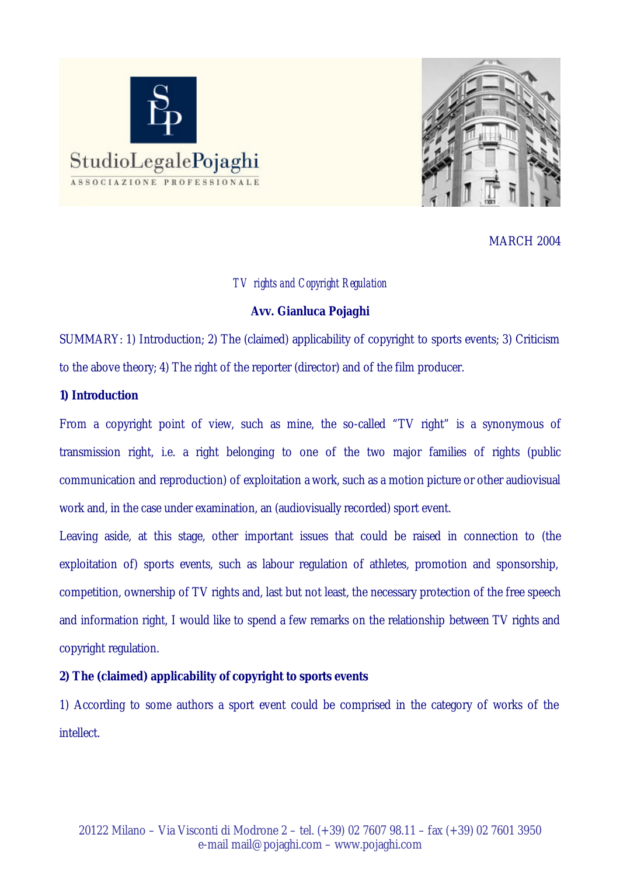



MARCH 2004

## *TV rights and Copyright Regulation*

## **Avv. Gianluca Pojaghi**

SUMMARY: 1) Introduction; 2) The (claimed) applicability of copyright to sports events; 3) Criticism to the above theory; 4) The right of the reporter (director) and of the film producer.

## **1) Introduction**

From a copyright point of view, such as mine, the so-called "TV right" is a synonymous of transmission right, i.e. a right belonging to one of the two major families of rights (public communication and reproduction) of exploitation a work, such as a motion picture or other audiovisual work and, in the case under examination, an (audiovisually recorded) sport event.

Leaving aside, at this stage, other important issues that could be raised in connection to (the exploitation of) sports events, such as labour regulation of athletes, promotion and sponsorship, competition, ownership of TV rights and, last but not least, the necessary protection of the free speech and information right, I would like to spend a few remarks on the relationship between TV rights and copyright regulation.

# **2) The (claimed) applicability of copyright to sports events**

1) According to some authors a sport event could be comprised in the category of works of the intellect.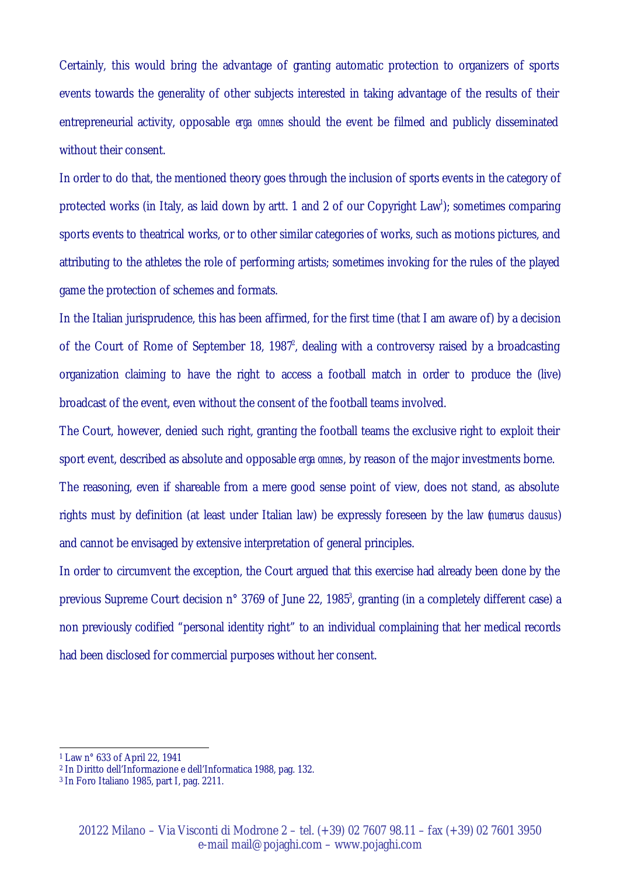Certainly, this would bring the advantage of granting automatic protection to organizers of sports events towards the generality of other subjects interested in taking advantage of the results of their entrepreneurial activity, opposable *erga omnes* should the event be filmed and publicly disseminated without their consent.

In order to do that, the mentioned theory goes through the inclusion of sports events in the category of protected works (in Italy, as laid down by artt. 1 and 2 of our Copyright Law<sup>1</sup>); sometimes comparing sports events to theatrical works, or to other similar categories of works, such as motions pictures, and attributing to the athletes the role of performing artists; sometimes invoking for the rules of the played game the protection of schemes and formats.

In the Italian jurisprudence, this has been affirmed, for the first time (that I am aware of) by a decision of the Court of Rome of September 18, 1987<sup>2</sup>, dealing with a controversy raised by a broadcasting organization claiming to have the right to access a football match in order to produce the (live) broadcast of the event, even without the consent of the football teams involved.

The Court, however, denied such right, granting the football teams the exclusive right to exploit their sport event, described as absolute and opposable *erga omnes*, by reason of the major investments borne.

The reasoning, even if shareable from a mere good sense point of view, does not stand, as absolute rights must by definition (at least under Italian law) be expressly foreseen by the law (*numerus clausus*) and cannot be envisaged by extensive interpretation of general principles.

In order to circumvent the exception, the Court argued that this exercise had already been done by the previous Supreme Court decision n° 3769 of June 22, 1985<sup>3</sup>, granting (in a completely different case) a non previously codified "personal identity right" to an individual complaining that her medical records had been disclosed for commercial purposes without her consent.

l

<sup>1</sup> Law n° 633 of April 22, 1941

<sup>2</sup> In Diritto dell'Informazione e dell'Informatica 1988, pag. 132.

<sup>3</sup> In Foro Italiano 1985, part I, pag. 2211.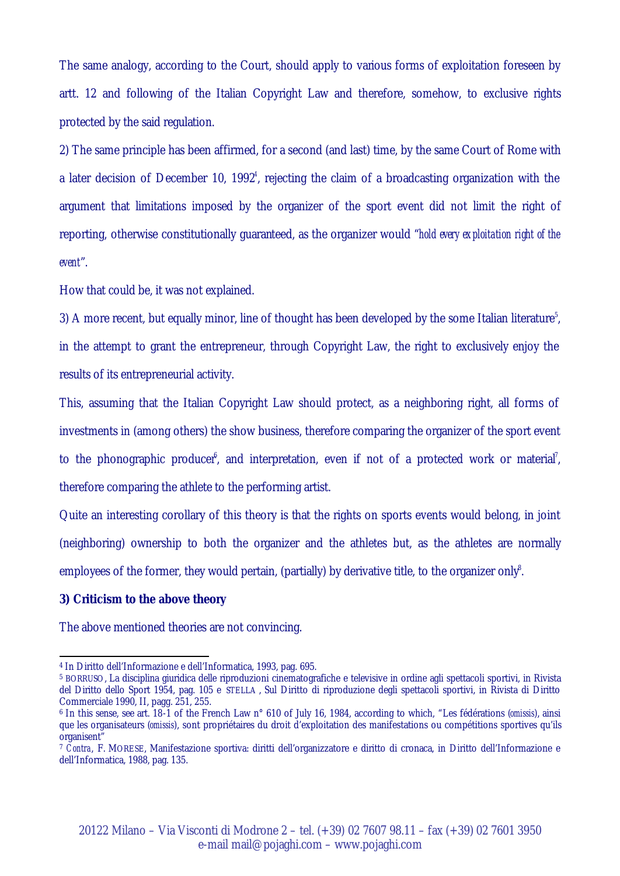The same analogy, according to the Court, should apply to various forms of exploitation foreseen by artt. 12 and following of the Italian Copyright Law and therefore, somehow, to exclusive rights protected by the said regulation.

2) The same principle has been affirmed, for a second (and last) time, by the same Court of Rome with a later decision of December 10, 1992<sup>4</sup>, rejecting the claim of a broadcasting organization with the argument that limitations imposed by the organizer of the sport event did not limit the right of reporting, otherwise constitutionally guaranteed, as the organizer would "*hold every exploitation right of the event*".

How that could be, it was not explained.

3) A more recent, but equally minor, line of thought has been developed by the some Italian literature<sup>5</sup>, in the attempt to grant the entrepreneur, through Copyright Law, the right to exclusively enjoy the results of its entrepreneurial activity.

This, assuming that the Italian Copyright Law should protect, as a neighboring right, all forms of investments in (among others) the show business, therefore comparing the organizer of the sport event to the phonographic producer<sup> $\beta$ </sup>, and interpretation, even if not of a protected work or material<sup>7</sup>, therefore comparing the athlete to the performing artist.

Quite an interesting corollary of this theory is that the rights on sports events would belong, in joint (neighboring) ownership to both the organizer and the athletes but, as the athletes are normally employees of the former, they would pertain, (partially) by derivative title, to the organizer only<sup>8</sup>.

#### **3) Criticism to the above theory**

l

The above mentioned theories are not convincing.

<sup>4</sup> In Diritto dell'Informazione e dell'Informatica, 1993, pag. 695.

<sup>5</sup> BORRUSO, La disciplina giuridica delle riproduzioni cinematografiche e televisive in ordine agli spettacoli sportivi, in Rivista del Diritto dello Sport 1954, pag. 105 e STELLA , Sul Diritto di riproduzione degli spettacoli sportivi, in Rivista di Diritto Commerciale 1990, II, pagg. 251, 255.

<sup>6</sup> In this sense, see art. 18-1 of the French Law n° 610 of July 16, 1984, according to which, "Les fédérations (*omissis*), ainsi que les organisateurs (*omissis*), sont propriétaires du droit d'exploitation des manifestations ou compétitions sportives qu'ils organisent"

<sup>7</sup> *Contra*, F. MORESE, Manifestazione sportiva: diritti dell'organizzatore e diritto di cronaca, in Diritto dell'Informazione e dell'Informatica, 1988, pag. 135.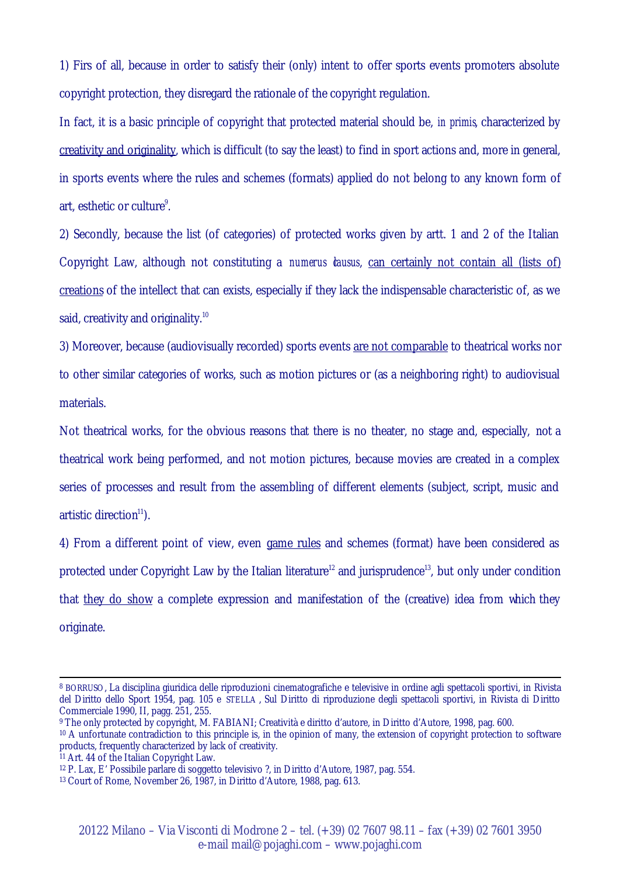1) Firs of all, because in order to satisfy their (only) intent to offer sports events promoters absolute copyright protection, they disregard the rationale of the copyright regulation.

In fact, it is a basic principle of copyright that protected material should be, *in primis*, characterized by creativity and originality, which is difficult (to say the least) to find in sport actions and, more in general, in sports events where the rules and schemes (formats) applied do not belong to any known form of art, esthetic or culture<sup>9</sup>.

2) Secondly, because the list (of categories) of protected works given by artt. 1 and 2 of the Italian Copyright Law, although not constituting a *numerus dausus*, can certainly not contain all (lists of) creations of the intellect that can exists, especially if they lack the indispensable characteristic of, as we said, creativity and originality.<sup>10</sup>

3) Moreover, because (audiovisually recorded) sports events are not comparable to theatrical works nor to other similar categories of works, such as motion pictures or (as a neighboring right) to audiovisual materials.

Not theatrical works, for the obvious reasons that there is no theater, no stage and, especially, not a theatrical work being performed, and not motion pictures, because movies are created in a complex series of processes and result from the assembling of different elements (subject, script, music and artistic direction<sup>11</sup>).

4) From a different point of view, even game rules and schemes (format) have been considered as protected under Copyright Law by the Italian literature<sup>12</sup> and jurisprudence<sup>13</sup>, but only under condition that they do show a complete expression and manifestation of the (creative) idea from which they originate.

<sup>9</sup> The only protected by copyright, M. FABIANI; Creatività e diritto d'autore, in Diritto d'Autore, 1998, pag. 600.

l

<sup>8</sup> BORRUSO, La disciplina giuridica delle riproduzioni cinematografiche e televisive in ordine agli spettacoli sportivi, in Rivista del Diritto dello Sport 1954, pag. 105 e STELLA , Sul Diritto di riproduzione degli spettacoli sportivi, in Rivista di Diritto Commerciale 1990, II, pagg. 251, 255.

<sup>&</sup>lt;sup>10</sup> A unfortunate contradiction to this principle is, in the opinion of many, the extension of copyright protection to software products, frequently characterized by lack of creativity.

 $11$  Art. 44 of the Italian Copyright Law.

<sup>12</sup> P. Lax, E' Possibile parlare di soggetto televisivo ?, in Diritto d'Autore, 1987, pag. 554.

<sup>13</sup> Court of Rome, November 26, 1987, in Diritto d'Autore, 1988, pag. 613.